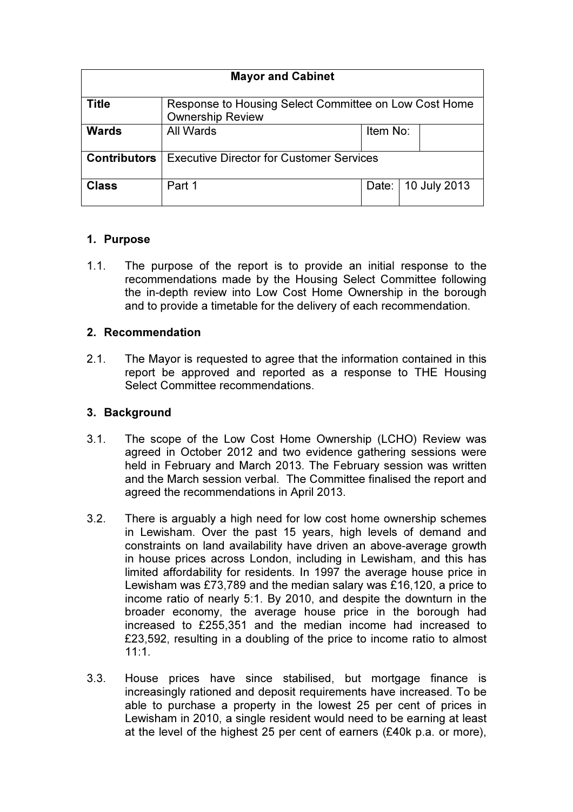| <b>Mayor and Cabinet</b> |                                                                                  |          |              |
|--------------------------|----------------------------------------------------------------------------------|----------|--------------|
| <b>Title</b>             | Response to Housing Select Committee on Low Cost Home<br><b>Ownership Review</b> |          |              |
| <b>Wards</b>             | All Wards                                                                        | Item No: |              |
| <b>Contributors</b>      | <b>Executive Director for Customer Services</b>                                  |          |              |
| <b>Class</b>             | Part 1                                                                           | Date:    | 10 July 2013 |

# 1. Purpose

1.1. The purpose of the report is to provide an initial response to the recommendations made by the Housing Select Committee following the in-depth review into Low Cost Home Ownership in the borough and to provide a timetable for the delivery of each recommendation.

#### 2. Recommendation

2.1. The Mayor is requested to agree that the information contained in this report be approved and reported as a response to THE Housing Select Committee recommendations.

### 3. Background

- 3.1. The scope of the Low Cost Home Ownership (LCHO) Review was agreed in October 2012 and two evidence gathering sessions were held in February and March 2013. The February session was written and the March session verbal. The Committee finalised the report and agreed the recommendations in April 2013.
- 3.2. There is arguably a high need for low cost home ownership schemes in Lewisham. Over the past 15 years, high levels of demand and constraints on land availability have driven an above-average growth in house prices across London, including in Lewisham, and this has limited affordability for residents. In 1997 the average house price in Lewisham was £73,789 and the median salary was £16,120, a price to income ratio of nearly 5:1. By 2010, and despite the downturn in the broader economy, the average house price in the borough had increased to £255,351 and the median income had increased to £23,592, resulting in a doubling of the price to income ratio to almost  $11:1$
- 3.3. House prices have since stabilised, but mortgage finance is increasingly rationed and deposit requirements have increased. To be able to purchase a property in the lowest 25 per cent of prices in Lewisham in 2010, a single resident would need to be earning at least at the level of the highest 25 per cent of earners (£40k p.a. or more),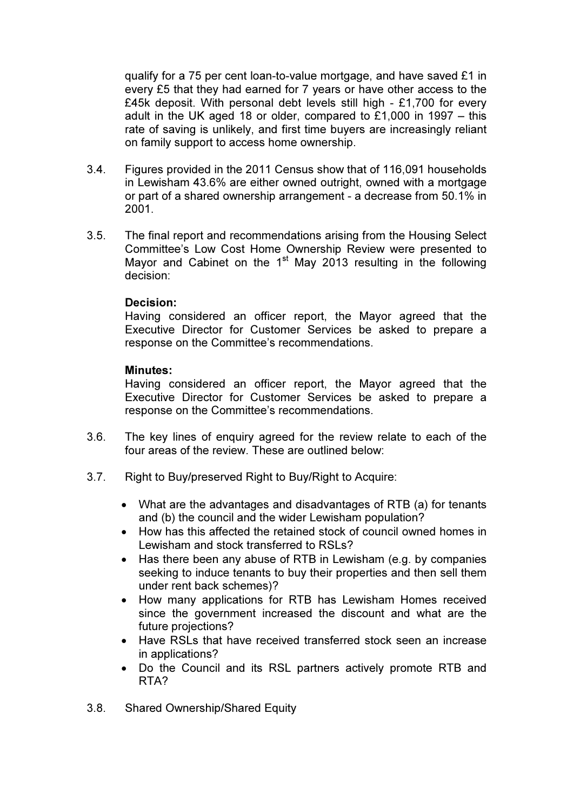qualify for a 75 per cent loan-to-value mortgage, and have saved £1 in every £5 that they had earned for 7 years or have other access to the £45k deposit. With personal debt levels still high  $-$  £1,700 for every adult in the UK aged 18 or older, compared to  $£1,000$  in 1997 – this rate of saving is unlikely, and first time buyers are increasingly reliant on family support to access home ownership.

- 3.4. Figures provided in the 2011 Census show that of 116,091 households in Lewisham 43.6% are either owned outright, owned with a mortgage or part of a shared ownership arrangement - a decrease from 50.1% in 2001.
- 3.5. The final report and recommendations arising from the Housing Select Committee's Low Cost Home Ownership Review were presented to Mayor and Cabinet on the 1<sup>st</sup> May 2013 resulting in the following decision:

#### Decision:

Having considered an officer report, the Mayor agreed that the Executive Director for Customer Services be asked to prepare a response on the Committee's recommendations.

#### Minutes:

Having considered an officer report, the Mayor agreed that the Executive Director for Customer Services be asked to prepare a response on the Committee's recommendations.

- 3.6. The key lines of enquiry agreed for the review relate to each of the four areas of the review. These are outlined below:
- 3.7. Right to Buy/preserved Right to Buy/Right to Acquire:
	- What are the advantages and disadvantages of RTB (a) for tenants and (b) the council and the wider Lewisham population?
	- How has this affected the retained stock of council owned homes in Lewisham and stock transferred to RSLs?
	- Has there been any abuse of RTB in Lewisham (e.g. by companies seeking to induce tenants to buy their properties and then sell them under rent back schemes)?
	- How many applications for RTB has Lewisham Homes received since the government increased the discount and what are the future projections?
	- Have RSLs that have received transferred stock seen an increase in applications?
	- Do the Council and its RSL partners actively promote RTB and RTA?
- 3.8. Shared Ownership/Shared Equity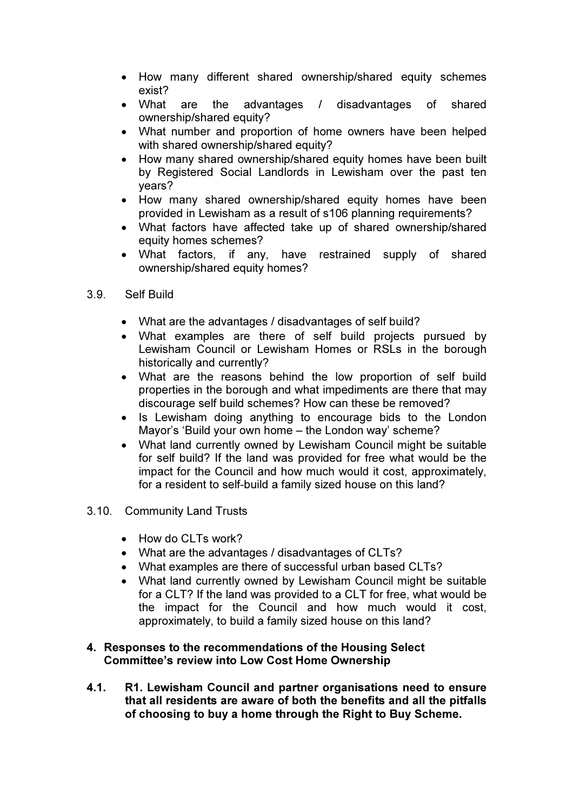- How many different shared ownership/shared equity schemes exist?
- What are the advantages / disadvantages of shared ownership/shared equity?
- What number and proportion of home owners have been helped with shared ownership/shared equity?
- How many shared ownership/shared equity homes have been built by Registered Social Landlords in Lewisham over the past ten years?
- How many shared ownership/shared equity homes have been provided in Lewisham as a result of s106 planning requirements?
- What factors have affected take up of shared ownership/shared equity homes schemes?
- What factors, if any, have restrained supply of shared ownership/shared equity homes?
- 3.9. Self Build
	- What are the advantages / disadvantages of self build?
	- What examples are there of self build projects pursued by Lewisham Council or Lewisham Homes or RSLs in the borough historically and currently?
	- What are the reasons behind the low proportion of self build properties in the borough and what impediments are there that may discourage self build schemes? How can these be removed?
	- Is Lewisham doing anything to encourage bids to the London Mayor's 'Build your own home – the London way' scheme?
	- What land currently owned by Lewisham Council might be suitable for self build? If the land was provided for free what would be the impact for the Council and how much would it cost, approximately, for a resident to self-build a family sized house on this land?
- 3.10. Community Land Trusts
	- How do CLTs work?
	- What are the advantages / disadvantages of CLTs?
	- What examples are there of successful urban based CLTs?
	- What land currently owned by Lewisham Council might be suitable for a CLT? If the land was provided to a CLT for free, what would be the impact for the Council and how much would it cost, approximately, to build a family sized house on this land?

#### 4. Responses to the recommendations of the Housing Select Committee's review into Low Cost Home Ownership

4.1. R1. Lewisham Council and partner organisations need to ensure that all residents are aware of both the benefits and all the pitfalls of choosing to buy a home through the Right to Buy Scheme.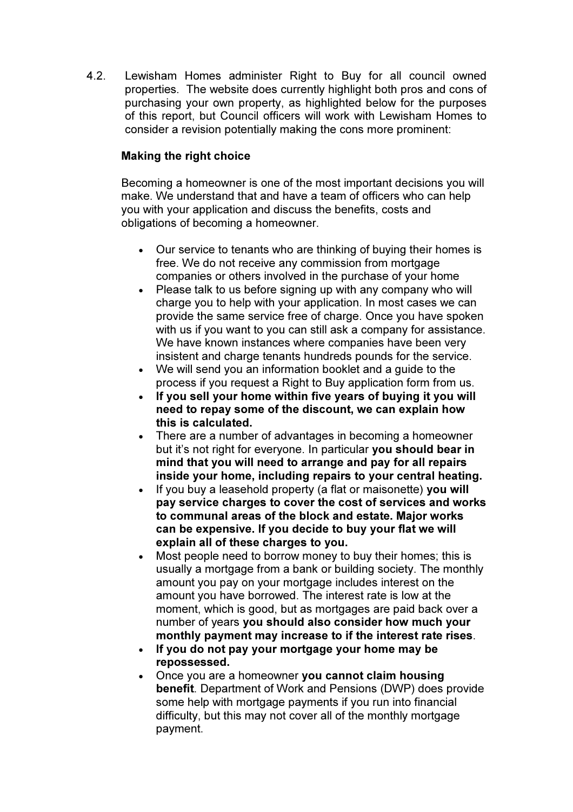4.2. Lewisham Homes administer Right to Buy for all council owned properties. The website does currently highlight both pros and cons of purchasing your own property, as highlighted below for the purposes of this report, but Council officers will work with Lewisham Homes to consider a revision potentially making the cons more prominent:

# Making the right choice

Becoming a homeowner is one of the most important decisions you will make. We understand that and have a team of officers who can help you with your application and discuss the benefits, costs and obligations of becoming a homeowner.

- Our service to tenants who are thinking of buying their homes is free. We do not receive any commission from mortgage companies or others involved in the purchase of your home
- Please talk to us before signing up with any company who will charge you to help with your application. In most cases we can provide the same service free of charge. Once you have spoken with us if you want to you can still ask a company for assistance. We have known instances where companies have been very insistent and charge tenants hundreds pounds for the service.
- We will send you an information booklet and a guide to the process if you request a Right to Buy application form from us.
- If you sell your home within five years of buying it you will need to repay some of the discount, we can explain how this is calculated.
- There are a number of advantages in becoming a homeowner but it's not right for everyone. In particular you should bear in mind that you will need to arrange and pay for all repairs inside your home, including repairs to your central heating.
- If you buy a leasehold property (a flat or maisonette) you will pay service charges to cover the cost of services and works to communal areas of the block and estate. Major works can be expensive. If you decide to buy your flat we will explain all of these charges to you.
- Most people need to borrow money to buy their homes; this is usually a mortgage from a bank or building society. The monthly amount you pay on your mortgage includes interest on the amount you have borrowed. The interest rate is low at the moment, which is good, but as mortgages are paid back over a number of years you should also consider how much your monthly payment may increase to if the interest rate rises.
- If you do not pay your mortgage your home may be repossessed.
- Once you are a homeowner you cannot claim housing benefit. Department of Work and Pensions (DWP) does provide some help with mortgage payments if you run into financial difficulty, but this may not cover all of the monthly mortgage payment.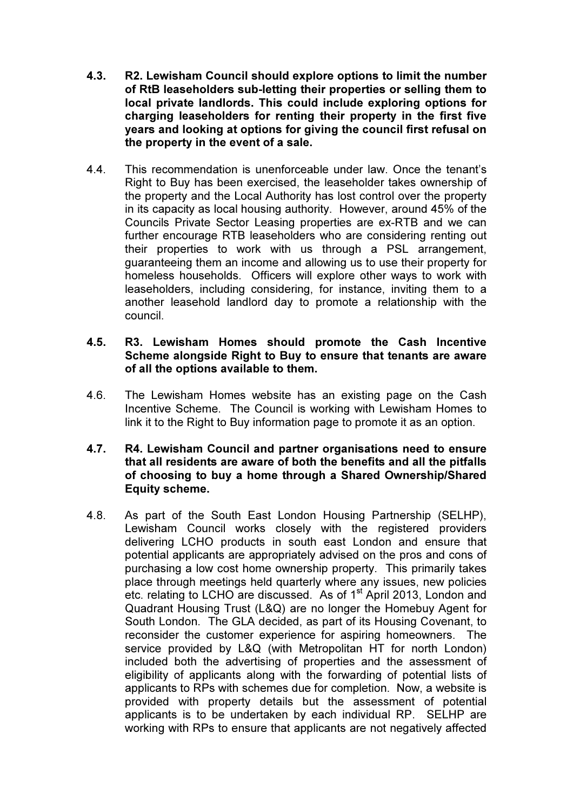- 4.3. R2. Lewisham Council should explore options to limit the number of RtB leaseholders sub-letting their properties or selling them to local private landlords. This could include exploring options for charging leaseholders for renting their property in the first five years and looking at options for giving the council first refusal on the property in the event of a sale.
- 4.4. This recommendation is unenforceable under law. Once the tenant's Right to Buy has been exercised, the leaseholder takes ownership of the property and the Local Authority has lost control over the property in its capacity as local housing authority. However, around 45% of the Councils Private Sector Leasing properties are ex-RTB and we can further encourage RTB leaseholders who are considering renting out their properties to work with us through a PSL arrangement, guaranteeing them an income and allowing us to use their property for homeless households. Officers will explore other ways to work with leaseholders, including considering, for instance, inviting them to a another leasehold landlord day to promote a relationship with the council.

#### 4.5. R3. Lewisham Homes should promote the Cash Incentive Scheme alongside Right to Buy to ensure that tenants are aware of all the options available to them.

- 4.6. The Lewisham Homes website has an existing page on the Cash Incentive Scheme. The Council is working with Lewisham Homes to link it to the Right to Buy information page to promote it as an option.
- 4.7. R4. Lewisham Council and partner organisations need to ensure that all residents are aware of both the benefits and all the pitfalls of choosing to buy a home through a Shared Ownership/Shared Equity scheme.
- 4.8. As part of the South East London Housing Partnership (SELHP), Lewisham Council works closely with the registered providers delivering LCHO products in south east London and ensure that potential applicants are appropriately advised on the pros and cons of purchasing a low cost home ownership property. This primarily takes place through meetings held quarterly where any issues, new policies etc. relating to LCHO are discussed. As of 1<sup>st</sup> April 2013, London and Quadrant Housing Trust (L&Q) are no longer the Homebuy Agent for South London. The GLA decided, as part of its Housing Covenant, to reconsider the customer experience for aspiring homeowners. The service provided by L&Q (with Metropolitan HT for north London) included both the advertising of properties and the assessment of eligibility of applicants along with the forwarding of potential lists of applicants to RPs with schemes due for completion. Now, a website is provided with property details but the assessment of potential applicants is to be undertaken by each individual RP. SELHP are working with RPs to ensure that applicants are not negatively affected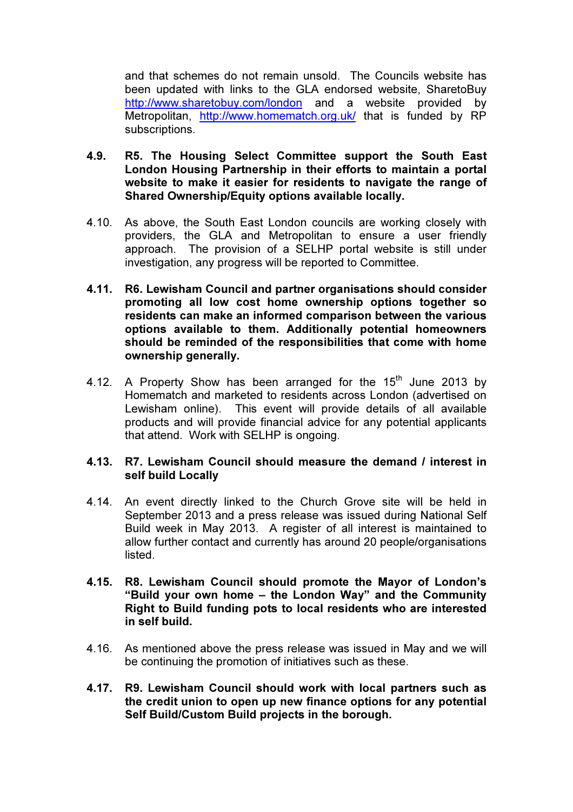and that schemes do not remain unsold. The Councils website has been updated with links to the GLA endorsed website, SharetoBuy http://www.sharetobuy.com/london and a website provided by Metropolitan, http://www.homematch.org.uk/ that is funded by RP subscriptions.

- 4.9. R5. The Housing Select Committee support the South East London Housing Partnership in their efforts to maintain a portal website to make it easier for residents to navigate the range of Shared Ownership/Equity options available locally.
- 4.10. As above, the South East London councils are working closely with providers, the GLA and Metropolitan to ensure a user friendly approach. The provision of a SELHP portal website is still under investigation, any progress will be reported to Committee.
- 4.11. R6. Lewisham Council and partner organisations should consider promoting all low cost home ownership options together so residents can make an informed comparison between the various options available to them. Additionally potential homeowners should be reminded of the responsibilities that come with home ownership generally.
- 4.12. A Property Show has been arranged for the  $15<sup>th</sup>$  June 2013 by Homematch and marketed to residents across London (advertised on Lewisham online). This event will provide details of all available products and will provide financial advice for any potential applicants that attend. Work with SELHP is ongoing.

#### 4.13. R7. Lewisham Council should measure the demand / interest in self build Locally

- 4.14. An event directly linked to the Church Grove site will be held in September 2013 and a press release was issued during National Self Build week in May 2013. A register of all interest is maintained to allow further contact and currently has around 20 people/organisations listed.
- 4.15. R8. Lewisham Council should promote the Mayor of London's "Build your own home – the London Way" and the Community Right to Build funding pots to local residents who are interested in self build.
- 4.16. As mentioned above the press release was issued in May and we will be continuing the promotion of initiatives such as these.
- 4.17. R9. Lewisham Council should work with local partners such as the credit union to open up new finance options for any potential Self Build/Custom Build projects in the borough.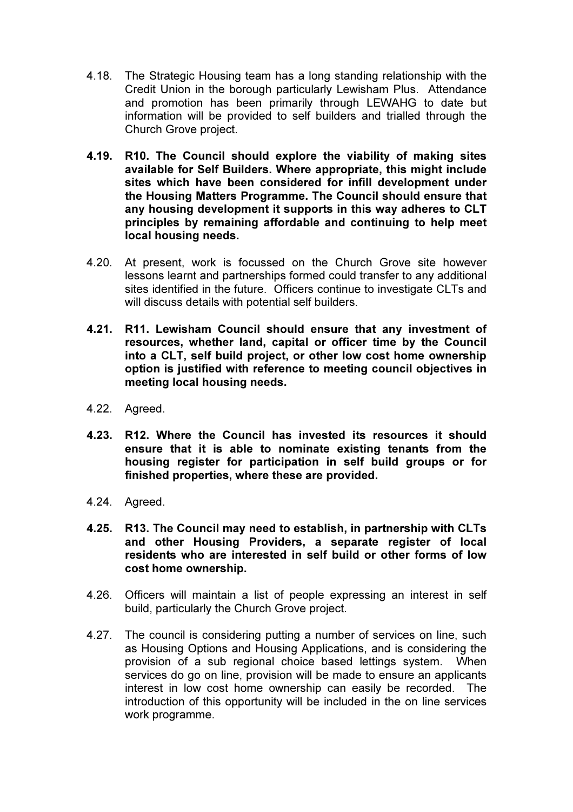- 4.18. The Strategic Housing team has a long standing relationship with the Credit Union in the borough particularly Lewisham Plus. Attendance and promotion has been primarily through LEWAHG to date but information will be provided to self builders and trialled through the Church Grove project.
- 4.19. R10. The Council should explore the viability of making sites available for Self Builders. Where appropriate, this might include sites which have been considered for infill development under the Housing Matters Programme. The Council should ensure that any housing development it supports in this way adheres to CLT principles by remaining affordable and continuing to help meet local housing needs.
- 4.20. At present, work is focussed on the Church Grove site however lessons learnt and partnerships formed could transfer to any additional sites identified in the future. Officers continue to investigate CLTs and will discuss details with potential self builders.
- 4.21. R11. Lewisham Council should ensure that any investment of resources, whether land, capital or officer time by the Council into a CLT, self build project, or other low cost home ownership option is justified with reference to meeting council objectives in meeting local housing needs.
- 4.22. Agreed.
- 4.23. R12. Where the Council has invested its resources it should ensure that it is able to nominate existing tenants from the housing register for participation in self build groups or for finished properties, where these are provided.
- 4.24. Agreed.
- 4.25. R13. The Council may need to establish, in partnership with CLTs and other Housing Providers, a separate register of local residents who are interested in self build or other forms of low cost home ownership.
- 4.26. Officers will maintain a list of people expressing an interest in self build, particularly the Church Grove project.
- 4.27. The council is considering putting a number of services on line, such as Housing Options and Housing Applications, and is considering the provision of a sub regional choice based lettings system. When services do go on line, provision will be made to ensure an applicants interest in low cost home ownership can easily be recorded. The introduction of this opportunity will be included in the on line services work programme.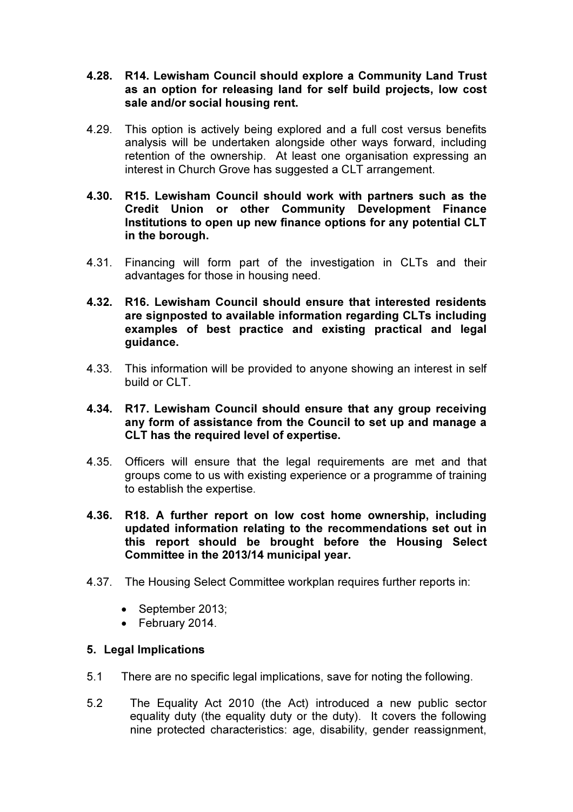- 4.28. R14. Lewisham Council should explore a Community Land Trust as an option for releasing land for self build projects, low cost sale and/or social housing rent.
- 4.29. This option is actively being explored and a full cost versus benefits analysis will be undertaken alongside other ways forward, including retention of the ownership. At least one organisation expressing an interest in Church Grove has suggested a CLT arrangement.
- 4.30. R15. Lewisham Council should work with partners such as the Credit Union or other Community Development Finance Institutions to open up new finance options for any potential CLT in the borough.
- 4.31. Financing will form part of the investigation in CLTs and their advantages for those in housing need.
- 4.32. R16. Lewisham Council should ensure that interested residents are signposted to available information regarding CLTs including examples of best practice and existing practical and legal guidance.
- 4.33. This information will be provided to anyone showing an interest in self build or CLT.
- 4.34. R17. Lewisham Council should ensure that any group receiving any form of assistance from the Council to set up and manage a CLT has the required level of expertise.
- 4.35. Officers will ensure that the legal requirements are met and that groups come to us with existing experience or a programme of training to establish the expertise.
- 4.36. R18. A further report on low cost home ownership, including updated information relating to the recommendations set out in this report should be brought before the Housing Select Committee in the 2013/14 municipal year.
- 4.37. The Housing Select Committee workplan requires further reports in:
	- September 2013:
	- February 2014.

#### 5. Legal Implications

- 5.1 There are no specific legal implications, save for noting the following.
- 5.2 The Equality Act 2010 (the Act) introduced a new public sector equality duty (the equality duty or the duty). It covers the following nine protected characteristics: age, disability, gender reassignment,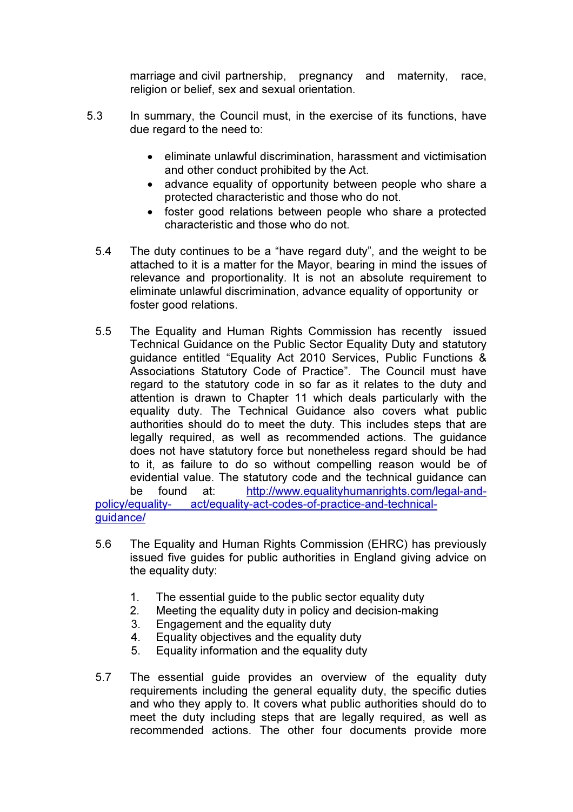marriage and civil partnership, pregnancy and maternity, race, religion or belief, sex and sexual orientation.

- 5.3 In summary, the Council must, in the exercise of its functions, have due regard to the need to:
	- eliminate unlawful discrimination, harassment and victimisation and other conduct prohibited by the Act.
	- advance equality of opportunity between people who share a protected characteristic and those who do not.
	- foster good relations between people who share a protected characteristic and those who do not.
	- 5.4 The duty continues to be a "have regard duty", and the weight to be attached to it is a matter for the Mayor, bearing in mind the issues of relevance and proportionality. It is not an absolute requirement to eliminate unlawful discrimination, advance equality of opportunity or foster good relations.
	- 5.5 The Equality and Human Rights Commission has recently issued Technical Guidance on the Public Sector Equality Duty and statutory guidance entitled "Equality Act 2010 Services, Public Functions & Associations Statutory Code of Practice". The Council must have regard to the statutory code in so far as it relates to the duty and attention is drawn to Chapter 11 which deals particularly with the equality duty. The Technical Guidance also covers what public authorities should do to meet the duty. This includes steps that are legally required, as well as recommended actions. The guidance does not have statutory force but nonetheless regard should be had to it, as failure to do so without compelling reason would be of evidential value. The statutory code and the technical guidance can be found at: http://www.equalityhumanrights.com/legal-andpolicy/equality- act/equality-act-codes-of-practice-and-technicalguidance/
	- 5.6 The Equality and Human Rights Commission (EHRC) has previously issued five guides for public authorities in England giving advice on the equality duty:
		- 1. The essential guide to the public sector equality duty
		- 2. Meeting the equality duty in policy and decision-making
		- 3. Engagement and the equality duty
		- 4. Equality objectives and the equality duty
		- 5. Equality information and the equality duty
	- 5.7 The essential guide provides an overview of the equality duty requirements including the general equality duty, the specific duties and who they apply to. It covers what public authorities should do to meet the duty including steps that are legally required, as well as recommended actions. The other four documents provide more